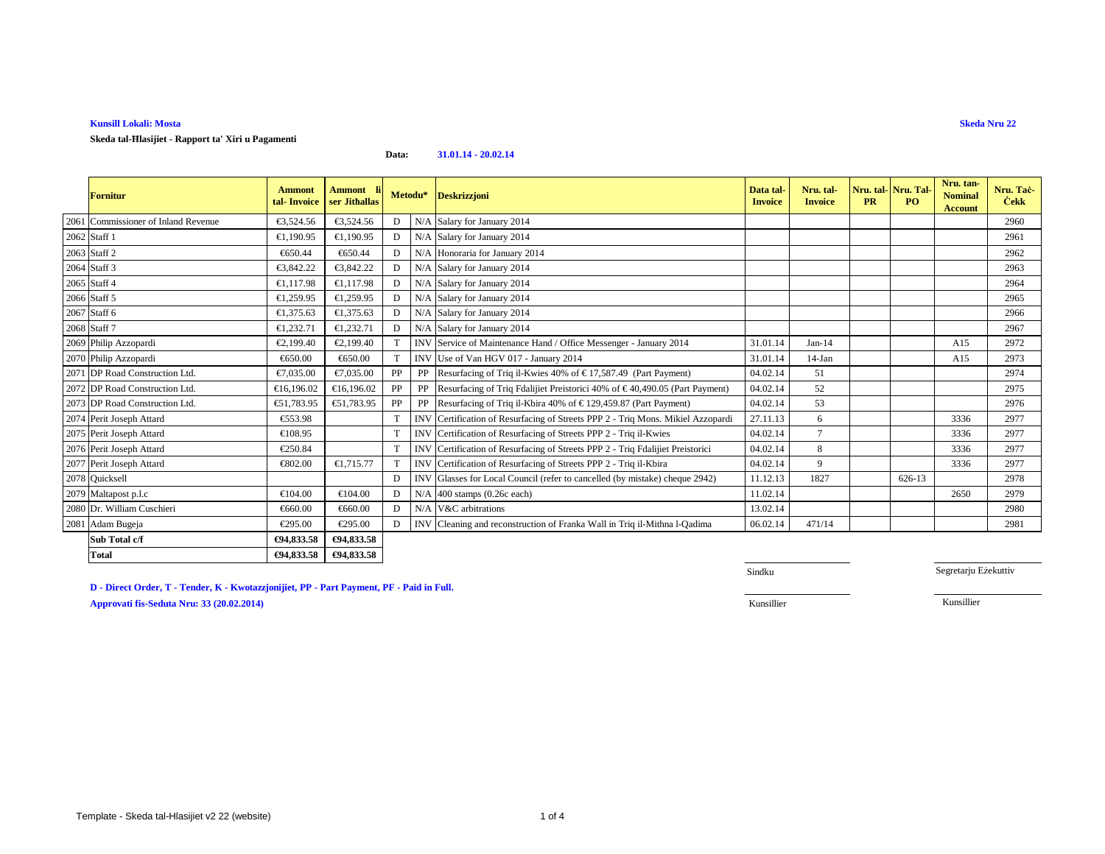### **Kunsill Lokali: Mosta**

**Skeda tal-Ħlasijiet - Rapport ta' Xiri u Pagamenti**

### **Data:31.01.14 - 20.02.14**

| Fornitur                            | <b>Ammont</b><br>tal-Invoice | Ammont li<br>ser Jithallas | Metodu* |            | <b>Deskrizzjoni</b>                                                         | Data tal<br><b>Invoice</b> | Nru. tal-<br><b>Invoice</b> | Nru. tal-<br><b>PR</b> | Nru. Tal-<br>PO. | Nru. tan-<br><b>Nominal</b><br><b>Account</b> | Nru. Tac-<br><b>Cekk</b> |
|-------------------------------------|------------------------------|----------------------------|---------|------------|-----------------------------------------------------------------------------|----------------------------|-----------------------------|------------------------|------------------|-----------------------------------------------|--------------------------|
| 2061 Commissioner of Inland Revenue | €3,524.56                    | €3,524.56                  | D       | N/A        | Salary for Janury 2014                                                      |                            |                             |                        |                  |                                               | 2960                     |
| 2062 Staff 1                        | €1,190.95                    | €1.190.95                  | D       | N/A        | Salary for January 2014                                                     |                            |                             |                        |                  |                                               | 2961                     |
| 2063 Staff 2                        | €650.44                      | €650.44                    | D       | N/A        | Honoraria for January 2014                                                  |                            |                             |                        |                  |                                               | 2962                     |
| 2064 Staff 3                        | €3,842.22                    | €3,842.22                  | D       | N/A        | Salary for January 2014                                                     |                            |                             |                        |                  |                                               | 2963                     |
| 2065 Staff 4                        | €1,117.98                    | €1,117.98                  | D       |            | N/A Salary for January 2014                                                 |                            |                             |                        |                  |                                               | 2964                     |
| 2066 Staff 5                        | €1,259.95                    | €1,259.95                  | D       |            | N/A Salary for January 2014                                                 |                            |                             |                        |                  |                                               | 2965                     |
| 2067 Staff 6                        | €1,375.63                    | €1.375.63                  | D       | N/A        | Salary for January 2014                                                     |                            |                             |                        |                  |                                               | 2966                     |
| 2068 Staff 7                        | €1,232.71                    | €1,232.71                  | D       | N/A        | Salary for January 2014                                                     |                            |                             |                        |                  |                                               | 2967                     |
| 2069 Philip Azzopardi               | €2,199.40                    | €2,199.40                  |         | <b>INV</b> | Service of Maintenance Hand Office Messenger - January 2014                 | 31.01.14                   | $Jan-14$                    |                        |                  | A15                                           | 2972                     |
| 2070 Philip Azzopardi               | €650.00                      | €650.00                    |         | <b>INV</b> | Use of Van HGV 017 - January 2014                                           | 31.01.14                   | $14-Jan$                    |                        |                  | A15                                           | 2973                     |
| 2071 DP Road Construction Ltd.      | €7,035.00                    | €7,035.00                  | PP      | PP         | Resurfacing of Triq iKwies 40% of € 17,587.49 (Part Payment)                | 04.02.14                   | 51                          |                        |                  |                                               | 2974                     |
| 2072 DP Road Construction Ltd.      | €16,196.02                   | €16,196.02                 | PP      | PP         | Resurfacing of Triq Fdhijiet Preistorici 40% of €40,490.05 (Part Payment)   | 04.02.14                   | 52                          |                        |                  |                                               | 2975                     |
| 2073 DP Road Construction Ltd.      | €51,783.95                   | €51,783.95                 | PP      | PP         | Resurfacing of Triq iKbira 40% of € 129,459.87 (Part Payment)               | 04.02.14                   | 53                          |                        |                  |                                               | 2976                     |
| 2074 Perit Joseph Attard            | €553.98                      |                            |         | <b>INV</b> | Certification of Resurfacing of Streets PPP 2 - Triq Mons. Mikiel Azzopardi | 27.11.13                   | 6                           |                        |                  | 3336                                          | 2977                     |
| 2075 Perit Joseph Attard            | €108.95                      |                            |         | <b>INV</b> | Certification of Resurfacing of Streets PPP 2 - Triq il-Kwies               | 04.02.14                   | $\overline{7}$              |                        |                  | 3336                                          | 2977                     |
| 2076 Perit Joseph Attard            | €250.84                      |                            | T       | <b>INV</b> | Certification of Resurfacing of Streets PPP 2 - Triq Fdalijiet Preistorici  | 04.02.14                   | 8                           |                        |                  | 3336                                          | 2977                     |
| 2077 Perit Joseph Attard            | €802.00                      | €1,715.77                  |         | <b>INV</b> | Certification of Resurfacig of Streets PPP 2 - Triq il-Kbira                | 04.02.14                   | 9                           |                        |                  | 3336                                          | 2977                     |
| 2078 Quicksell                      |                              |                            | D       |            | INV Glasses for Local Council (refer to cancelled (by mistake) cheque 2942) | 11.12.13                   | 1827                        |                        | 626-13           |                                               | 2978                     |
| 2079 Maltapost p.l.c                | €104.00                      | €104.00                    | D       | N/A        | 400 stamps (0.26c each)                                                     | 11.02.14                   |                             |                        |                  | 2650                                          | 2979                     |
| 2080 Dr. William Cuschieri          | €660.00                      | €660.00                    | D       | N/A        | V&C arbitrations                                                            | 13.02.14                   |                             |                        |                  |                                               | 2980                     |
| 2081 Adam Bugeja                    | €295.00                      | €295.00                    | D       | <b>INV</b> | Cleaning and reconstruction of FrankaWall in Triq il-Mithna l-Qadima        | 06.02.14                   | 471/14                      |                        |                  |                                               | 2981                     |
| Sub Total c/f                       | €94,833.58                   | €94,833.58                 |         |            |                                                                             |                            |                             |                        |                  |                                               |                          |
| <b>Total</b>                        | €94,833.58                   | €94,833.58                 |         |            |                                                                             |                            |                             |                        |                  |                                               |                          |

Sindku

Segretarju Eżekuttiv

**D - Direct Order, T - Tender, K - Kwotazzjonijiet, PP - Part Payment, PF - Paid in Full.Approvati fis-Seduta Nru: 33 (20.02.2014)**Kunsillier Kunsillier

Template - Skeda tal-Hlasijiet v2 22 (website)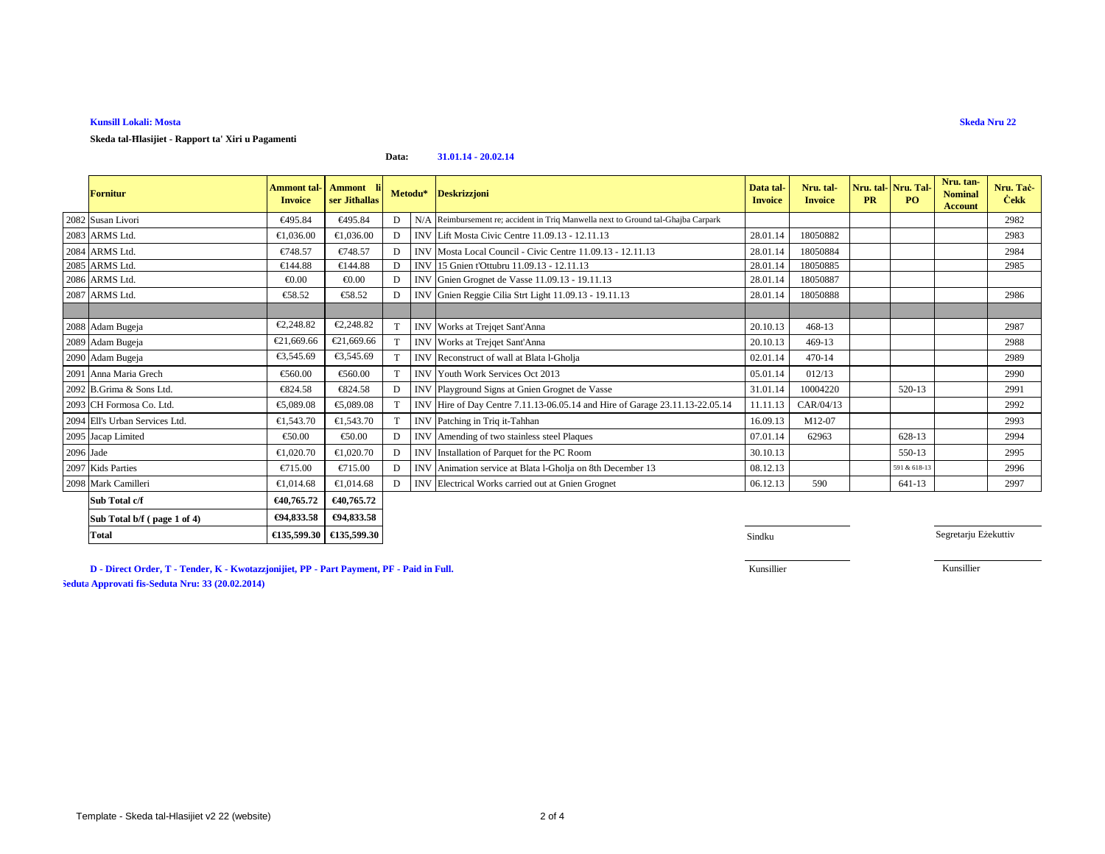## **Kunsill Lokali: Mosta**

**Skeda tal-Ħlasijiet - Rapport ta' Xiri u Pagamenti**

### **Data:31.01.14 - 20.02.14**

|           | <b>Fornitur</b>                | <b>Ammont tal-</b><br><b>Invoice</b> | Ammont li<br>ser Jithallas | Metodu* |            | <b>Deskrizzjoni</b>                                                               | Data tal-<br><b>Invoice</b> | Nru. tal-<br><b>Invoice</b> | <b>PR</b> | Nru. tal-Nru. Tal-<br>PO. | Nru. tan-<br><b>Nominal</b><br><b>Account</b> | Nru. Tač-<br><b>Cekk</b> |
|-----------|--------------------------------|--------------------------------------|----------------------------|---------|------------|-----------------------------------------------------------------------------------|-----------------------------|-----------------------------|-----------|---------------------------|-----------------------------------------------|--------------------------|
|           | 2082 Susan Livori              | €495.84                              | €495.84                    | D       |            | N/A Reimbursement re; accident in Triq Manwella next to Ground tal-Ghajba Carpark |                             |                             |           |                           |                                               | 2982                     |
|           | 2083 ARMS Ltd.                 | €1,036.00                            | €1,036.00                  | D       |            | INV Lift Mosta Civic Centre 11.09.13 - 12.11.13                                   | 2801.14                     | 18050882                    |           |                           |                                               | 2983                     |
|           | 2084 ARMS Ltd.                 | €748.57                              | €748.57                    | D       |            | INV Mosta Local Council - Civic Centre 11.0913 - 12.11.13                         | 28.01.14                    | 18050884                    |           |                           |                                               | 2984                     |
|           | 2085 ARMS Ltd.                 | €144.88                              | €144.88                    | D       |            | INV 15 Gnien t'Ottubru 11.09.13 - 12.11.13                                        | 28.01.14                    | 18050885                    |           |                           |                                               | 2985                     |
|           | 2086 ARMS Ltd.                 | € $0.00$                             | € $0.00$                   | D       | <b>INV</b> | Gnien Grognet de Vasse 11.09.13 - 19.11.13                                        | 28.01.14                    | 18050887                    |           |                           |                                               |                          |
|           | 2087 ARMS Ltd.                 | €58.52                               | €58.52                     | D       |            | INV Gnien Reggie Cilia Strt Light 11.09.13 -19.11.13                              | 28.01.14                    | 18050888                    |           |                           |                                               | 2986                     |
|           |                                |                                      |                            |         |            |                                                                                   |                             |                             |           |                           |                                               |                          |
|           | 2088 Adam Bugeja               | €2,248.82                            | €2,248.82                  |         |            | INV Works at Trejqet Sant'Anna                                                    | 20.10.13                    | $468 - 13$                  |           |                           |                                               | 2987                     |
|           | 2089 Adam Bugeja               | €21,669.66                           | €21,669.66                 | T       |            | INV Works at Trejqet Sant'Anna                                                    | 20.10.13                    | 469-13                      |           |                           |                                               | 2988                     |
|           | 2090 Adam Bugeja               | €3.545.69                            | €3,545.69                  | T       |            | INV Reconstruct of wall at Blata l-Gholja                                         | 02.01.14                    | 470-14                      |           |                           |                                               | 2989                     |
|           | 2091 Anna Maria Grech          | €560.00                              | €560.00                    |         | <b>INV</b> | Youth Work Services Oct 2013                                                      | 05.01.14                    | 012/13                      |           |                           |                                               | 2990                     |
|           | 2092 B.Grima & Sons Ltd.       | €824.58                              | €824.58                    | D       |            | INV Playground Signs at Gnien Gognet de Vasse                                     | 31.01.14                    | 10004220                    |           | 520-13                    |                                               | 2991                     |
|           | 2093 CH Formosa Co. Ltd.       | €5,089.08                            | €5,089.08                  |         |            | INV Hire of Day Centre 7.11.13-06.05.14 ad Hire of Garage 23.11.13-22.05.14       | 11.11.13                    | CAR/04/13                   |           |                           |                                               | 2992                     |
|           | 2094 Ell's Urban Services Ltd. | €1,543.70                            | €1,543.70                  |         |            | INV Patching in Triqti-Tahhan                                                     | 16.09.13                    | M12-07                      |           |                           |                                               | 2993                     |
|           | 2095 Jacap Limited             | €50.00                               | €50.00                     | D       |            | INV Amending of two stainless steel Paques                                        | 07.01.14                    | 62963                       |           | 628-13                    |                                               | 2994                     |
| 2096 Jade |                                | €1,020.70                            | €1,020.70                  | D       |            | INV Installation of Parquet for the PC Room                                       | 30.10.13                    |                             |           | 550-13                    |                                               | 2995                     |
|           | 2097 Kids Parties              | €715.00                              | $\epsilon$ 715.00          | D       |            | INV Animation service at Blata l-Ghqia on 8th December 13                         | 08.12.13                    |                             |           | 591 & 618-13              |                                               | 2996                     |
|           | 2098 Mark Camilleri            | €1,014.68                            | €1,014.68                  | D       |            | INV Electrical Works carried out aGnien Grognet                                   | 06.12.13                    | 590                         |           | 641-13                    |                                               | 2997                     |
|           | Sub Total c/f                  | €40,765.72                           | €40,765,72                 |         |            |                                                                                   |                             |                             |           |                           |                                               |                          |
|           | Sub Total b/f (page 1 of 4)    | €94,833.58                           | €94,833.58                 |         |            |                                                                                   |                             |                             |           |                           |                                               |                          |

**Sindku** Sindku Sindku Sindku Sindku Sindku Sindku Sindku Sindku Sindku Sindku Sindku Sindku Sindku Sindku Sindku

Segretarju Eżekuttiv

**D - Direct Order, T - Tender, K - Kwotazzjonijiet, PP - Part Payment, PF - Paid in Full.**

Kunsillier

Kunsillier

 **Approvati fis-Seduta Nru: 24 (29.08.2013) Approvati fis-Seduta Nru: 33 (20.02.2014)**

**Total**

**€135,599.30 €135,599.30**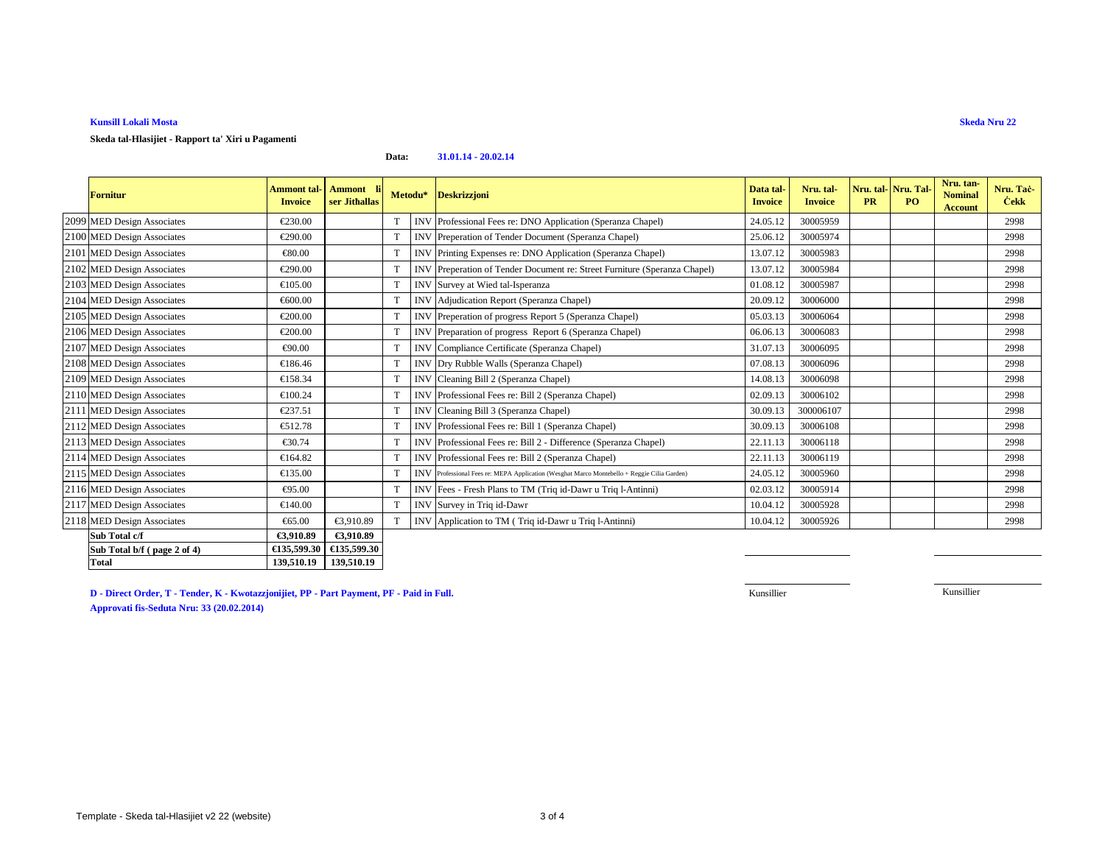# **Kunsill Lokali Mosta**

**Total**

### **Skeda tal-Hlasijiet - Rapport ta' Xiri u Pagamenti**

#### **Data:31.01.14 - 20.02.14**

| <b>Fornitur</b>             | <b>Ammont tal-</b><br><b>Invoice</b> | <b>Ammont</b><br>ser Jithallas |             |            | Metodu* Deskrizzjoni                                                                        | Data tal-<br><b>Invoice</b> | Nru. tal-<br><b>Invoice</b> | Nru. tal-Nru. Tal-<br><b>PR</b> | PO. | Nru. tan-<br><b>Nominal</b><br>Account | Nru. Tac-<br><b>Cekk</b> |
|-----------------------------|--------------------------------------|--------------------------------|-------------|------------|---------------------------------------------------------------------------------------------|-----------------------------|-----------------------------|---------------------------------|-----|----------------------------------------|--------------------------|
| 2099 MED Design Associates  | €230.00                              |                                |             |            | INV Professional Fees re: DNO Application (Speranza Chapel)                                 | 24.05.12                    | 30005959                    |                                 |     |                                        | 2998                     |
| 2100 MED Design Associates  | €290.00                              |                                | $\mathbf T$ |            | INV Preperation of Tender Document (Speranza Chapel)                                        | 25.06.12                    | 30005974                    |                                 |     |                                        | 2998                     |
| 2101 MED Design Associates  | €80.00                               |                                | T           |            | INV Printing Expenses re: DNOApplication (Speranza Chapel)                                  | 13.07.12                    | 30005983                    |                                 |     |                                        | 2998                     |
| 2102 MED Design Associates  | €290.00                              |                                | T           | <b>INV</b> | Preperation of Tender Documentre: Street Furniture (Speranza Chapel)                        | 13.07.12                    | 30005984                    |                                 |     |                                        | 2998                     |
| 2103 MED Design Associates  | €105.00                              |                                |             |            | INV Survey at Wied tal-Isperanza                                                            | 01.08.12                    | 30005987                    |                                 |     |                                        | 2998                     |
| 2104 MED Design Associates  | €600.00                              |                                | $\mathbf T$ | <b>INV</b> | Adjudication Report (Speranza Chapel)                                                       | 20.09.12                    | 30006000                    |                                 |     |                                        | 2998                     |
| 2105 MED Design Associates  | €200.00                              |                                | T           |            | INV Preperation of progress Report 5 (Speranza Chapel)                                      | 05.03.13                    | 30006064                    |                                 |     |                                        | 2998                     |
| 2106 MED Design Associates  | €200.00                              |                                | $\mathbf T$ |            | INV Preparation of progress Report6 (Speranza Chapel)                                       | 06.06.13                    | 30006083                    |                                 |     |                                        | 2998                     |
| 2107 MED Design Associates  | €90.00                               |                                | T           | <b>INV</b> | Compliance Certificate (Spennza Chapel)                                                     | 31.07.13                    | 30006095                    |                                 |     |                                        | 2998                     |
| 2108 MED Design Associates  | €186.46                              |                                | T           |            | INV Dry Rubble Walls (Speranza Chapel)                                                      | 07.08.13                    | 30006096                    |                                 |     |                                        | 2998                     |
| 2109 MED Design Associates  | €158.34                              |                                | T           | <b>INV</b> | Cleaning Bill 2 (Speranza Chapel)                                                           | 14.08.13                    | 30006098                    |                                 |     |                                        | 2998                     |
| 2110 MED Design Associates  | €100.24                              |                                | T           |            | INV Professional Fees re: Bill2 (Speranza Chapel)                                           | 02.09.13                    | 30006102                    |                                 |     |                                        | 2998                     |
| 2111 MED Design Associates  | €237.51                              |                                | T           | <b>INV</b> | Cleaning Bill 3 (Speranza Chapel)                                                           | 30.09.13                    | 300006107                   |                                 |     |                                        | 2998                     |
| 2112 MED Design Associates  | €512.78                              |                                | T           |            | INV Professional Fees re: Bill1 (Speranza Chapel)                                           | 30.09.13                    | 30006108                    |                                 |     |                                        | 2998                     |
| 2113 MED Design Associates  | €30.74                               |                                | T           |            | INV Professional Fees re: Bill2 - Difference (Speranza Chapel)                              | 22.11.13                    | 30006118                    |                                 |     |                                        | 2998                     |
| 2114 MED Design Associates  | €164.82                              |                                | $\mathbf T$ |            | INV Professional Fees re: Bill2 (Speranza Chapel)                                           | 22.11.13                    | 30006119                    |                                 |     |                                        | 2998                     |
| 2115 MED Design Associates  | €135.00                              |                                | $\mathbf T$ |            | INV Professional Fees re: MEPA Application (Wesghat Marco Montebello + Reggie Cilia Garden) | 24.05.12                    | 30005960                    |                                 |     |                                        | 2998                     |
| 2116 MED Design Associates  | €95.00                               |                                | T           |            | INV Fees - Fresh Plans to TM (Triq id-Dawr u Triq l-Antinni)                                | 02.03.12                    | 30005914                    |                                 |     |                                        | 2998                     |
| 2117 MED Design Associates  | €140.00                              |                                | $\mathbf T$ |            | INV Survey in Triq id-Dawr                                                                  | 10.04.12                    | 30005928                    |                                 |     |                                        | 2998                     |
| 2118 MED Design Associates  | €65.00                               | €3,910.89                      |             | <b>INV</b> | Application to TM (Triq idDawr u Triq l-Antinni)                                            | 10.04.12                    | 30005926                    |                                 |     |                                        | 2998                     |
| Sub Total c/f               | €3,910.89                            | €3,910.89                      |             |            |                                                                                             |                             |                             |                                 |     |                                        |                          |
| Sub Total b/f (page 2 of 4) |                                      | €135,599.30 €135,599.30        |             |            |                                                                                             |                             |                             |                                 |     |                                        |                          |

**D - Direct Order, T - Tender, K - Kwotazzjonijiet, PP - Part Payment, PF - Paid in Full.Approvati fis-Seduta Nru: 33 (20.02.2014)**

**139,510.19 139,510.19**

Kunsillier

Kunsillier